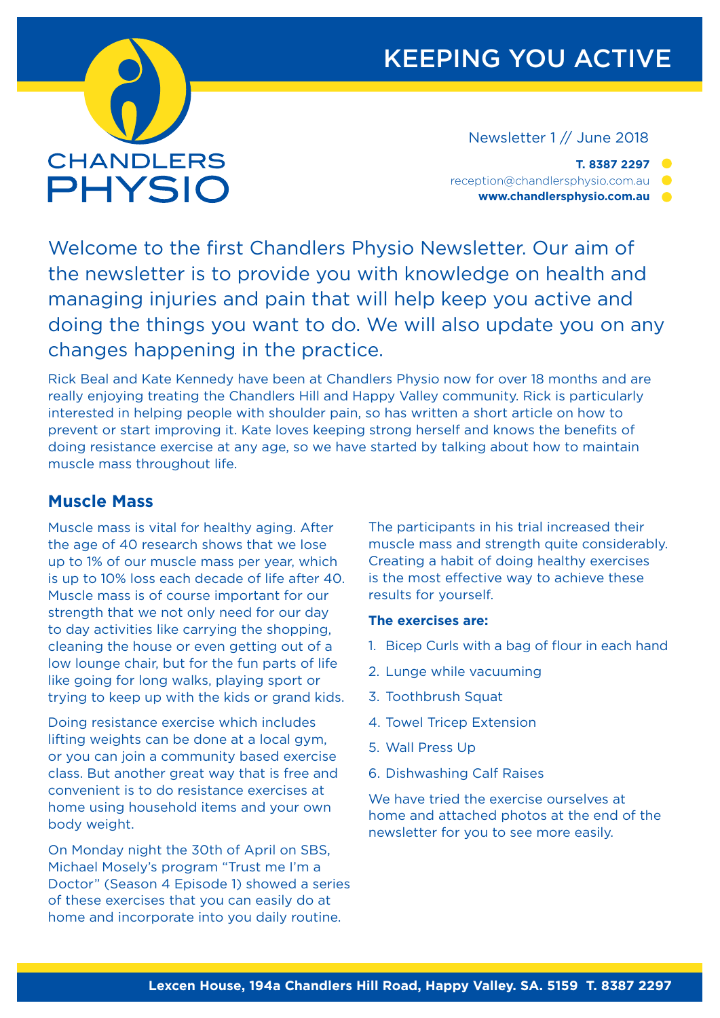

## KEEPING YOU ACTIVE

Newsletter 1 // June 2018

**T. 8387 2297** reception@chandlersphysio.com.au **www.chandlersphysio.com.au**

Welcome to the first Chandlers Physio Newsletter. Our aim of the newsletter is to provide you with knowledge on health and managing injuries and pain that will help keep you active and doing the things you want to do. We will also update you on any changes happening in the practice.

Rick Beal and Kate Kennedy have been at Chandlers Physio now for over 18 months and are really enjoying treating the Chandlers Hill and Happy Valley community. Rick is particularly interested in helping people with shoulder pain, so has written a short article on how to prevent or start improving it. Kate loves keeping strong herself and knows the benefits of doing resistance exercise at any age, so we have started by talking about how to maintain muscle mass throughout life.

## **Muscle Mass**

Muscle mass is vital for healthy aging. After the age of 40 research shows that we lose up to 1% of our muscle mass per year, which is up to 10% loss each decade of life after 40. Muscle mass is of course important for our strength that we not only need for our day to day activities like carrying the shopping, cleaning the house or even getting out of a low lounge chair, but for the fun parts of life like going for long walks, playing sport or trying to keep up with the kids or grand kids.

Doing resistance exercise which includes lifting weights can be done at a local gym, or you can join a community based exercise class. But another great way that is free and convenient is to do resistance exercises at home using household items and your own body weight.

On Monday night the 30th of April on SBS, Michael Mosely's program "Trust me I'm a Doctor" (Season 4 Episode 1) showed a series of these exercises that you can easily do at home and incorporate into you daily routine.

The participants in his trial increased their muscle mass and strength quite considerably. Creating a habit of doing healthy exercises is the most effective way to achieve these results for yourself.

#### **The exercises are:**

- 1. Bicep Curls with a bag of flour in each hand
- 2. Lunge while vacuuming
- 3. Toothbrush Squat
- 4. Towel Tricep Extension
- 5. Wall Press Up
- 6. Dishwashing Calf Raises

We have tried the exercise ourselves at home and attached photos at the end of the newsletter for you to see more easily.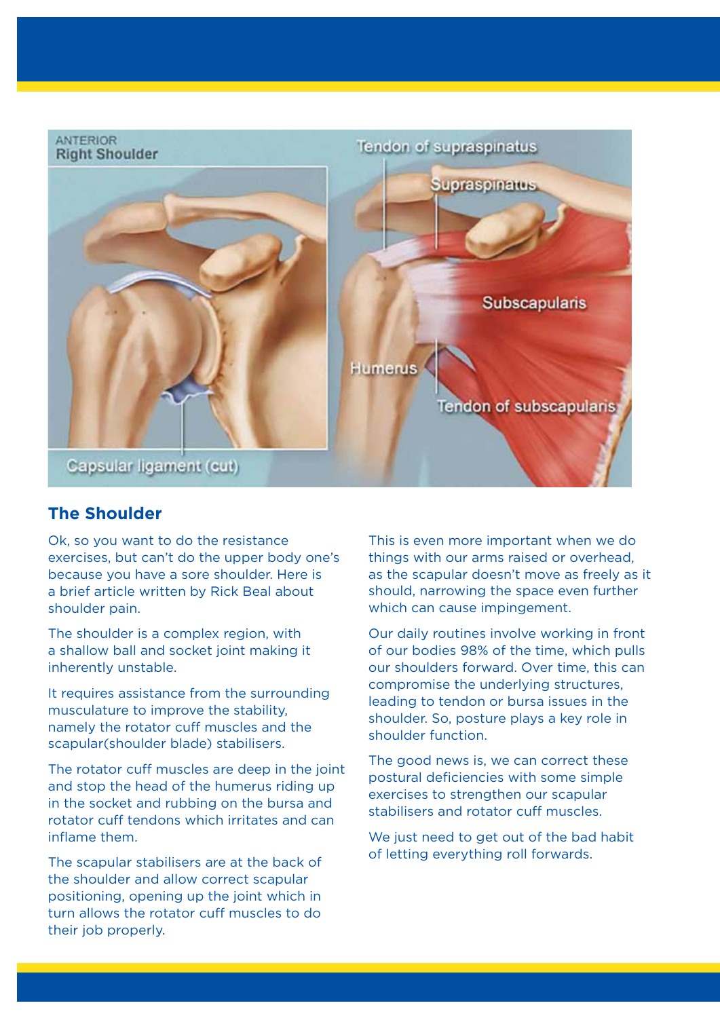

### **The Shoulder**

Ok, so you want to do the resistance exercises, but can't do the upper body one's because you have a sore shoulder. Here is a brief article written by Rick Beal about shoulder pain.

The shoulder is a complex region, with a shallow ball and socket joint making it inherently unstable.

It requires assistance from the surrounding musculature to improve the stability, namely the rotator cuff muscles and the scapular(shoulder blade) stabilisers.

The rotator cuff muscles are deep in the joint and stop the head of the humerus riding up in the socket and rubbing on the bursa and rotator cuff tendons which irritates and can inflame them.

The scapular stabilisers are at the back of the shoulder and allow correct scapular positioning, opening up the joint which in turn allows the rotator cuff muscles to do their job properly.

This is even more important when we do things with our arms raised or overhead, as the scapular doesn't move as freely as it should, narrowing the space even further which can cause impingement.

Our daily routines involve working in front of our bodies 98% of the time, which pulls our shoulders forward. Over time, this can compromise the underlying structures, leading to tendon or bursa issues in the shoulder. So, posture plays a key role in shoulder function.

The good news is, we can correct these postural deficiencies with some simple exercises to strengthen our scapular stabilisers and rotator cuff muscles.

We just need to get out of the bad habit of letting everything roll forwards.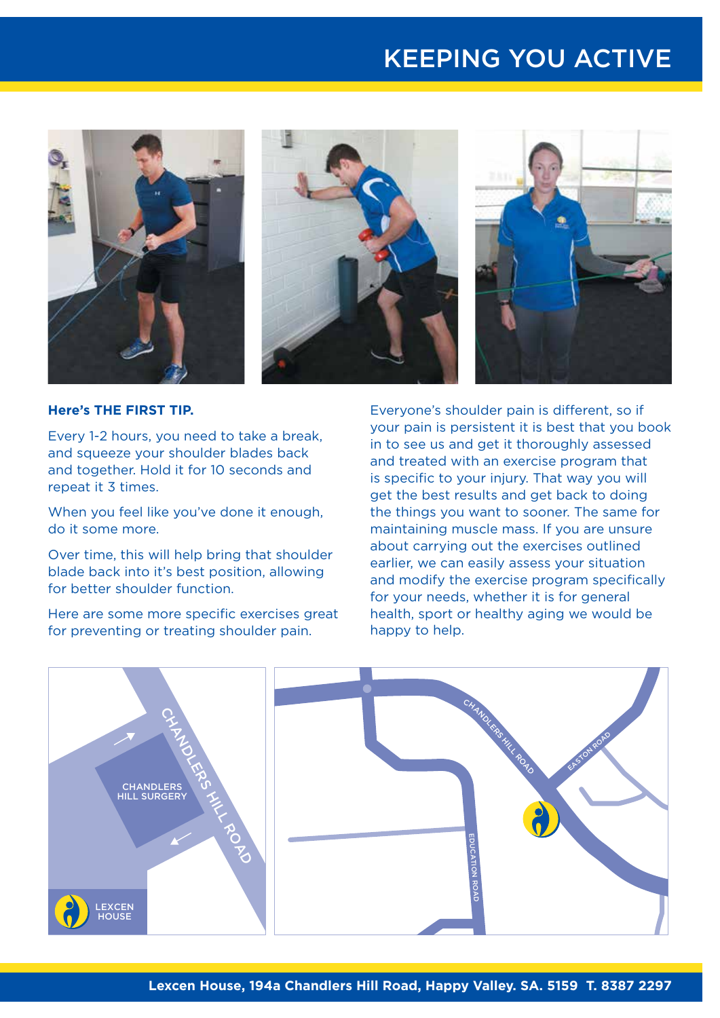# KEEPING YOU ACTIVE



**Here's THE FIRST TIP.**

Every 1-2 hours, you need to take a break, and squeeze your shoulder blades back and together. Hold it for 10 seconds and repeat it 3 times.

When you feel like you've done it enough, do it some more.

Over time, this will help bring that shoulder blade back into it's best position, allowing for better shoulder function.

Here are some more specific exercises great for preventing or treating shoulder pain.

Everyone's shoulder pain is different, so if your pain is persistent it is best that you book in to see us and get it thoroughly assessed and treated with an exercise program that is specific to your injury. That way you will get the best results and get back to doing the things you want to sooner. The same for maintaining muscle mass. If you are unsure about carrying out the exercises outlined earlier, we can easily assess your situation and modify the exercise program specifically for your needs, whether it is for general health, sport or healthy aging we would be happy to help.